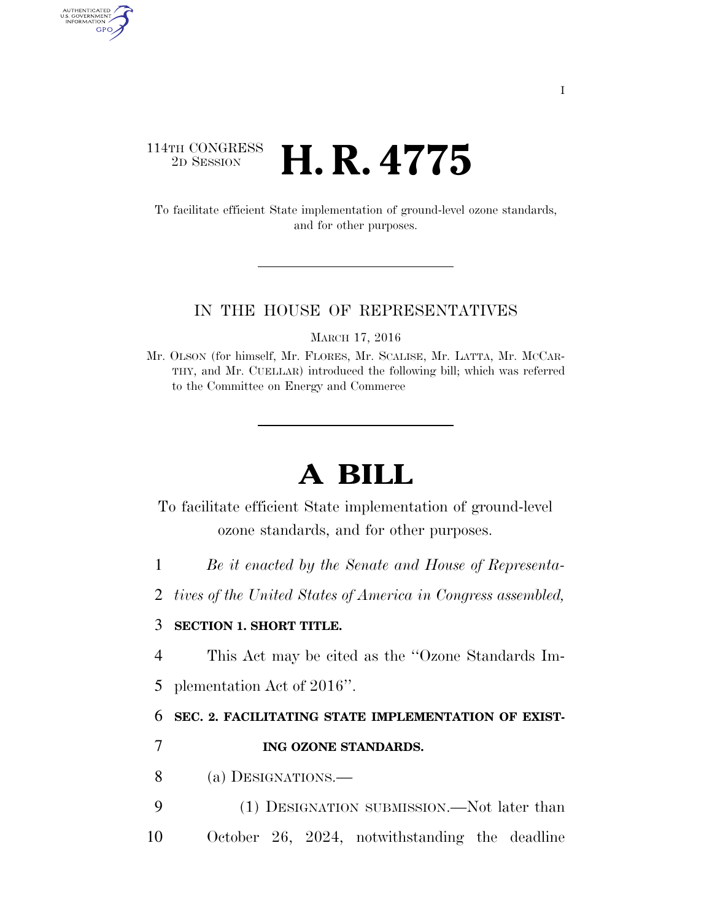## $\begin{array}{c} \textbf{114TH CONGRESS} \\ \textbf{2D SESION} \end{array}$ 2D SESSION **H. R. 4775**

AUTHENTICATED<br>U.S. GOVERNMENT<br>INFORMATION GPO

> To facilitate efficient State implementation of ground-level ozone standards, and for other purposes.

#### IN THE HOUSE OF REPRESENTATIVES

MARCH 17, 2016

# **A BILL**

To facilitate efficient State implementation of ground-level ozone standards, and for other purposes.

1 *Be it enacted by the Senate and House of Representa-*

2 *tives of the United States of America in Congress assembled,* 

### 3 **SECTION 1. SHORT TITLE.**

4 This Act may be cited as the ''Ozone Standards Im-

5 plementation Act of 2016''.

### 6 **SEC. 2. FACILITATING STATE IMPLEMENTATION OF EXIST-**

7 **ING OZONE STANDARDS.** 

8 (a) DESIGNATIONS.—

9 (1) DESIGNATION SUBMISSION.—Not later than 10 October 26, 2024, notwithstanding the deadline

Mr. OLSON (for himself, Mr. FLORES, Mr. SCALISE, Mr. LATTA, Mr. MCCAR-THY, and Mr. CUELLAR) introduced the following bill; which was referred to the Committee on Energy and Commerce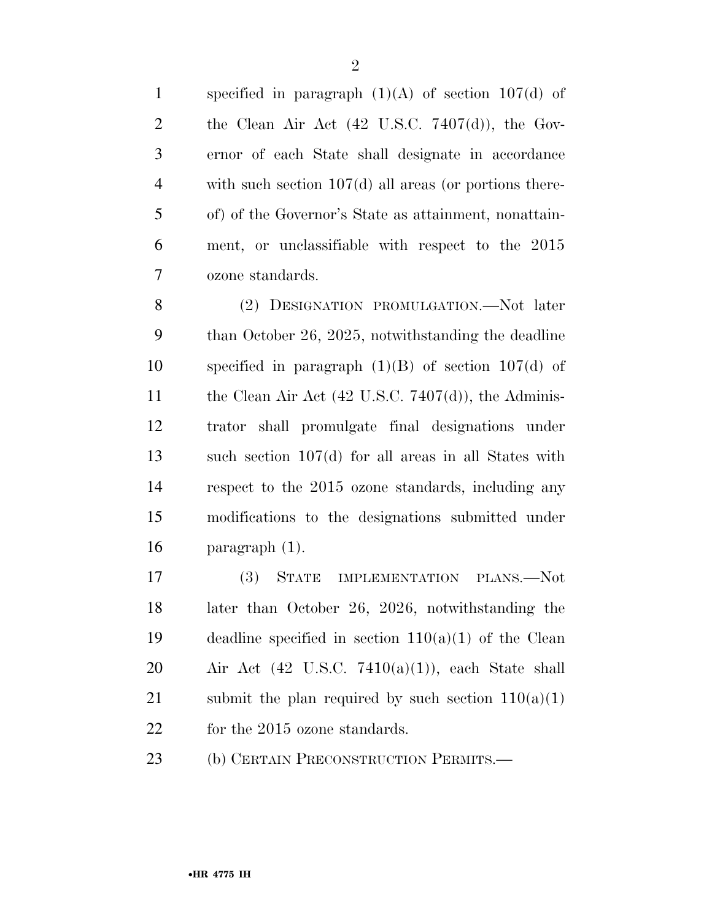1 specified in paragraph  $(1)(A)$  of section 107(d) of 2 the Clean Air Act  $(42 \text{ U.S.C. } 7407\text{ (d)}),$  the Gov- ernor of each State shall designate in accordance with such section 107(d) all areas (or portions there- of) of the Governor's State as attainment, nonattain- ment, or unclassifiable with respect to the 2015 ozone standards.

 (2) DESIGNATION PROMULGATION.—Not later than October 26, 2025, notwithstanding the deadline specified in paragraph (1)(B) of section 107(d) of 11 the Clean Air Act (42 U.S.C. 7407(d)), the Adminis- trator shall promulgate final designations under such section 107(d) for all areas in all States with respect to the 2015 ozone standards, including any modifications to the designations submitted under paragraph (1).

 (3) STATE IMPLEMENTATION PLANS.—Not later than October 26, 2026, notwithstanding the 19 deadline specified in section  $110(a)(1)$  of the Clean 20 Air Act  $(42 \text{ U.S.C. } 7410(a)(1))$ , each State shall 21 submit the plan required by such section  $110(a)(1)$ 22 for the 2015 ozone standards.

(b) CERTAIN PRECONSTRUCTION PERMITS.—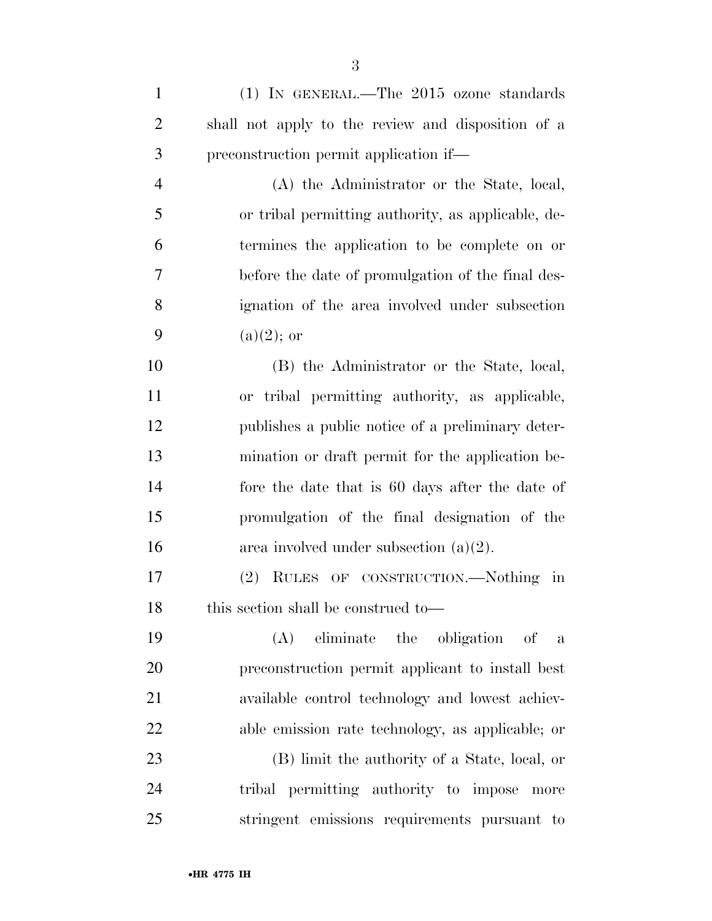(1) IN GENERAL.—The 2015 ozone standards shall not apply to the review and disposition of a preconstruction permit application if— (A) the Administrator or the State, local, or tribal permitting authority, as applicable, de- termines the application to be complete on or before the date of promulgation of the final des-ignation of the area involved under subsection

9 (a)(2); or

 (B) the Administrator or the State, local, or tribal permitting authority, as applicable, publishes a public notice of a preliminary deter- mination or draft permit for the application be- fore the date that is 60 days after the date of promulgation of the final designation of the 16 area involved under subsection  $(a)(2)$ .

 (2) RULES OF CONSTRUCTION.—Nothing in 18 this section shall be construed to—

 (A) eliminate the obligation of a preconstruction permit applicant to install best available control technology and lowest achiev-able emission rate technology, as applicable; or

 (B) limit the authority of a State, local, or tribal permitting authority to impose more stringent emissions requirements pursuant to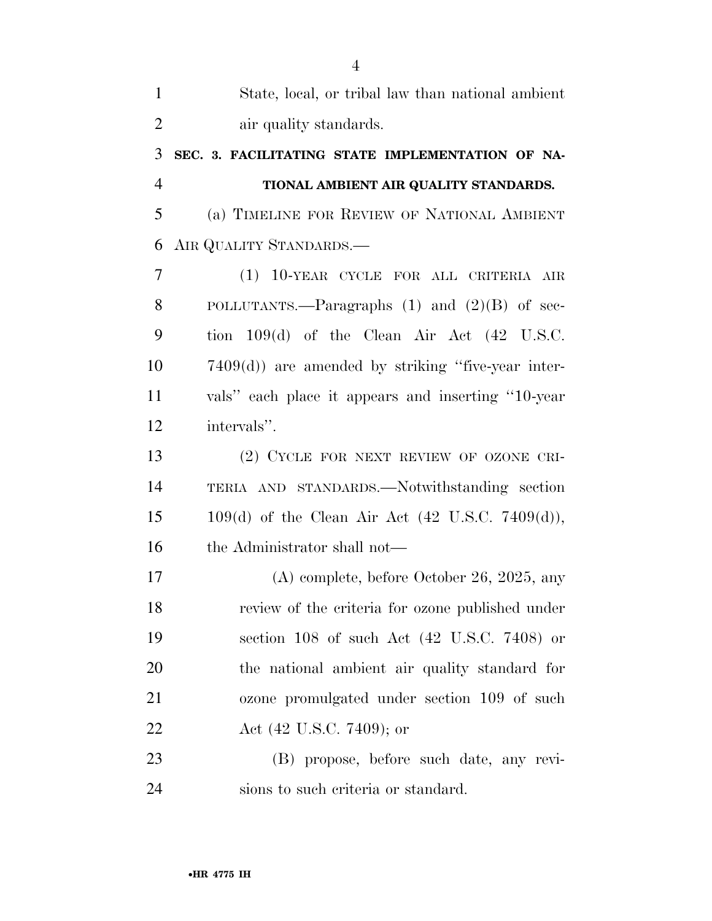| $\mathbf{1}$   | State, local, or tribal law than national ambient        |
|----------------|----------------------------------------------------------|
| $\overline{2}$ | air quality standards.                                   |
| 3              | SEC. 3. FACILITATING STATE IMPLEMENTATION OF NA-         |
| $\overline{4}$ | TIONAL AMBIENT AIR QUALITY STANDARDS.                    |
| 5              | (a) TIMELINE FOR REVIEW OF NATIONAL AMBIENT              |
| 6              | AIR QUALITY STANDARDS.                                   |
| 7              | (1) 10-YEAR CYCLE FOR ALL CRITERIA AIR                   |
| 8              | POLLUTANTS.—Paragraphs $(1)$ and $(2)(B)$ of sec-        |
| 9              | tion $109(d)$ of the Clean Air Act $(42 \text{ U.S.C.})$ |
| 10             | $7409(d)$ are amended by striking "five-year inter-      |
| 11             | vals" each place it appears and inserting "10-year"      |
| 12             | intervals".                                              |
| 13             | (2) CYCLE FOR NEXT REVIEW OF OZONE CRI-                  |
| 14             | TERIA AND STANDARDS.—Notwithstanding section             |
| 15             | $109(d)$ of the Clean Air Act (42 U.S.C. 7409(d)),       |
| 16             | the Administrator shall not—                             |
| 17             | $(A)$ complete, before October 26, 2025, any             |
| 18             | review of the criteria for ozone published under         |
| 19             | section 108 of such Act (42 U.S.C. 7408) or              |
| 20             | the national ambient air quality standard for            |
| 21             | ozone promulgated under section 109 of such              |
| 22             | Act (42 U.S.C. 7409); or                                 |
| 23             | (B) propose, before such date, any revi-                 |
| 24             | sions to such criteria or standard.                      |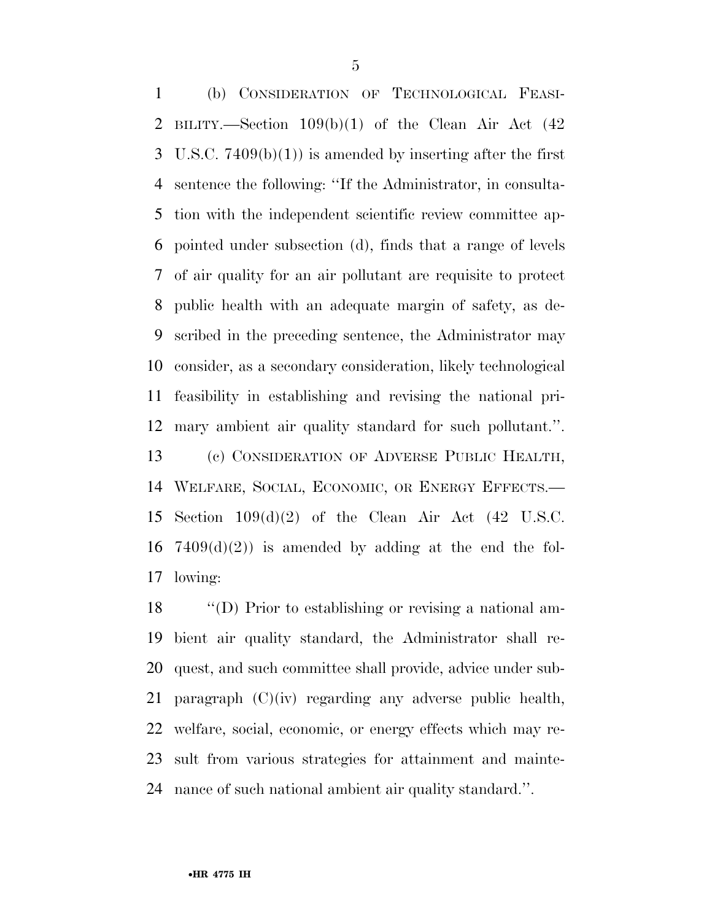(b) CONSIDERATION OF TECHNOLOGICAL FEASI- BILITY.—Section 109(b)(1) of the Clean Air Act (42 3 U.S.C.  $7409(b)(1)$  is amended by inserting after the first sentence the following: ''If the Administrator, in consulta- tion with the independent scientific review committee ap- pointed under subsection (d), finds that a range of levels of air quality for an air pollutant are requisite to protect public health with an adequate margin of safety, as de- scribed in the preceding sentence, the Administrator may consider, as a secondary consideration, likely technological feasibility in establishing and revising the national pri- mary ambient air quality standard for such pollutant.''. (c) CONSIDERATION OF ADVERSE PUBLIC HEALTH, WELFARE, SOCIAL, ECONOMIC, OR ENERGY EFFECTS.— Section 109(d)(2) of the Clean Air Act (42 U.S.C. 16 7409 $(d)(2)$  is amended by adding at the end the fol-lowing:

 ''(D) Prior to establishing or revising a national am- bient air quality standard, the Administrator shall re- quest, and such committee shall provide, advice under sub-21 paragraph  $(C)(iv)$  regarding any adverse public health, welfare, social, economic, or energy effects which may re- sult from various strategies for attainment and mainte-nance of such national ambient air quality standard.''.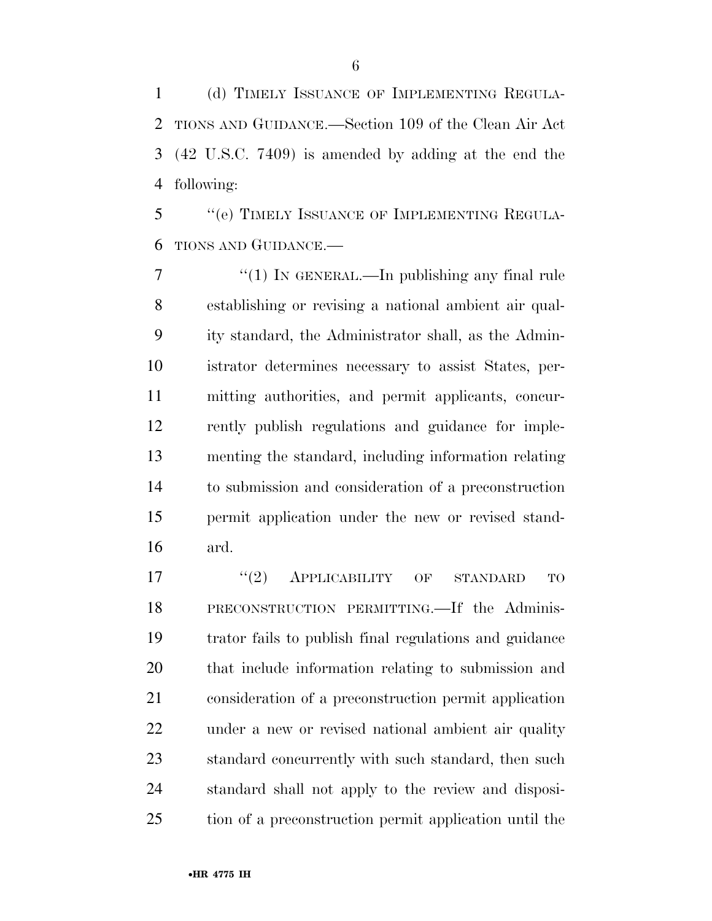(d) TIMELY ISSUANCE OF IMPLEMENTING REGULA- TIONS AND GUIDANCE.—Section 109 of the Clean Air Act (42 U.S.C. 7409) is amended by adding at the end the following:

 ''(e) TIMELY ISSUANCE OF IMPLEMENTING REGULA-TIONS AND GUIDANCE.—

 $\frac{7}{7}$  (1) In GENERAL.—In publishing any final rule establishing or revising a national ambient air qual- ity standard, the Administrator shall, as the Admin- istrator determines necessary to assist States, per- mitting authorities, and permit applicants, concur- rently publish regulations and guidance for imple- menting the standard, including information relating to submission and consideration of a preconstruction permit application under the new or revised stand-ard.

 $(2)$  APPLICABILITY OF STANDARD TO PRECONSTRUCTION PERMITTING.—If the Adminis- trator fails to publish final regulations and guidance that include information relating to submission and consideration of a preconstruction permit application under a new or revised national ambient air quality standard concurrently with such standard, then such standard shall not apply to the review and disposi-tion of a preconstruction permit application until the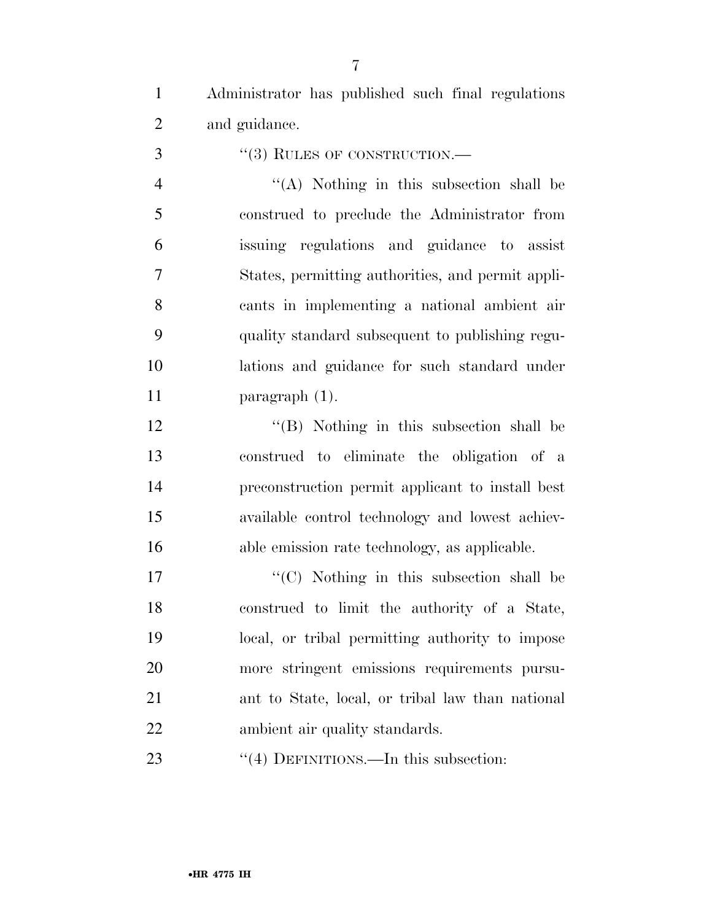Administrator has published such final regulations and guidance.

''(3) RULES OF CONSTRUCTION.—

 ''(A) Nothing in this subsection shall be construed to preclude the Administrator from issuing regulations and guidance to assist States, permitting authorities, and permit appli- cants in implementing a national ambient air quality standard subsequent to publishing regu- lations and guidance for such standard under paragraph (1).

12 ''(B) Nothing in this subsection shall be construed to eliminate the obligation of a preconstruction permit applicant to install best available control technology and lowest achiev-able emission rate technology, as applicable.

17 ''(C) Nothing in this subsection shall be construed to limit the authority of a State, local, or tribal permitting authority to impose more stringent emissions requirements pursu- ant to State, local, or tribal law than national ambient air quality standards.

23 "(4) DEFINITIONS.—In this subsection: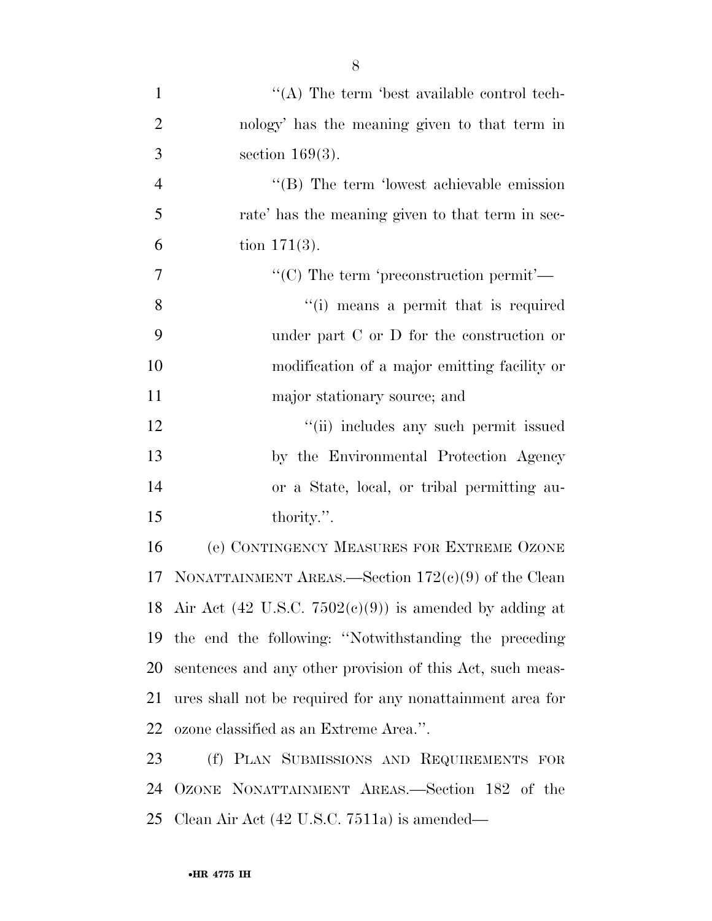| $\mathbf{1}$   | $\lq\lq$ . The term 'best available control tech-            |
|----------------|--------------------------------------------------------------|
| $\overline{2}$ | nology' has the meaning given to that term in                |
| 3              | section $169(3)$ .                                           |
| $\overline{4}$ | $\lq\lq$ . The term 'lowest achievable emission'             |
| 5              | rate' has the meaning given to that term in sec-             |
| 6              | tion $171(3)$ .                                              |
| $\overline{7}$ | "(C) The term 'preconstruction permit'—                      |
| $8\,$          | "(i) means a permit that is required                         |
| 9              | under part $C$ or $D$ for the construction or                |
| 10             | modification of a major emitting facility or                 |
| 11             | major stationary source; and                                 |
| 12             | "(ii) includes any such permit issued                        |
| 13             | by the Environmental Protection Agency                       |
| 14             | or a State, local, or tribal permitting au-                  |
| 15             | thority.".                                                   |
| 16             | (e) CONTINGENCY MEASURES FOR EXTREME OZONE                   |
| 17             | NONATTAINMENT AREAS.—Section $172(e)(9)$ of the Clean        |
|                | 18 Air Act (42 U.S.C. $7502(e)(9)$ ) is amended by adding at |
| 19             | the end the following: "Notwithstanding the preceding        |
| 20             | sentences and any other provision of this Act, such meas-    |
| 21             | ures shall not be required for any nonattainment area for    |
| 22             | ozone classified as an Extreme Area.".                       |
| 23             | (f) PLAN SUBMISSIONS AND REQUIREMENTS FOR                    |
| 24             | OZONE NONATTAINMENT AREAS.—Section 182 of the                |
| 25             | Clean Air Act $(42 \text{ U.S.C. } 7511a)$ is amended—       |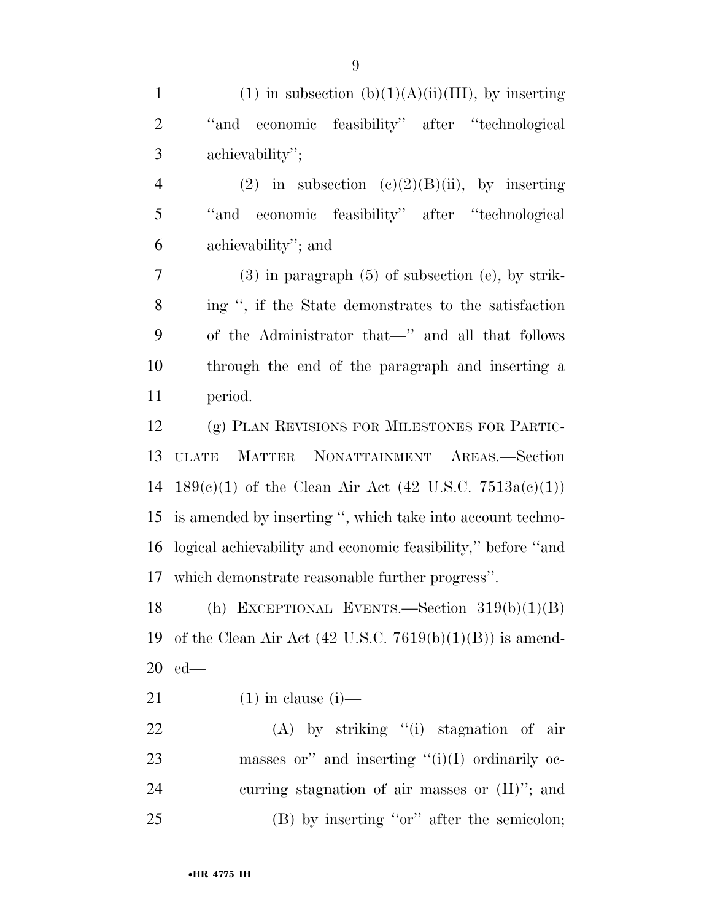| $\mathbf{1}$   | (1) in subsection (b)(1)(A)(ii)(III), by inserting                  |
|----------------|---------------------------------------------------------------------|
| $\overline{2}$ | "and economic feasibility" after "technological"                    |
| 3              | achievability";                                                     |
| $\overline{4}$ | (2) in subsection (c)(2)(B)(ii), by inserting                       |
| 5              | "and economic feasibility" after "technological                     |
| 6              | achievability"; and                                                 |
| 7              | $(3)$ in paragraph $(5)$ of subsection $(e)$ , by strik-            |
| 8              | ing ", if the State demonstrates to the satisfaction                |
| 9              | of the Administrator that—" and all that follows                    |
| 10             | through the end of the paragraph and inserting a                    |
| 11             | period.                                                             |
| 12             | (g) PLAN REVISIONS FOR MILESTONES FOR PARTIC-                       |
| 13             | MATTER NONATTAINMENT AREAS.-Section<br><b>ULATE</b>                 |
| 14             | $189(c)(1)$ of the Clean Air Act (42 U.S.C. 7513a(c)(1))            |
| 15             | is amended by inserting ", which take into account techno-          |
| 16             | logical achievability and economic feasibility," before "and        |
|                | 17 which demonstrate reasonable further progress".                  |
| 18             | (h) EXCEPTIONAL EVENTS.—Section $319(b)(1)(B)$                      |
| 19             | of the Clean Air Act $(42 \text{ U.S.C. } 7619(b)(1)(B))$ is amend- |
| 20             | $ed$ —                                                              |
| 21             | $(1)$ in clause $(i)$ —                                             |
| 22             | $(A)$ by striking "(i) stagnation of air                            |
| 23             | masses or" and inserting " $(i)(I)$ ordinarily oc-                  |
| 24             | curring stagnation of air masses or $(II)$ "; and                   |
| 25             | $(B)$ by inserting "or" after the semicolon;                        |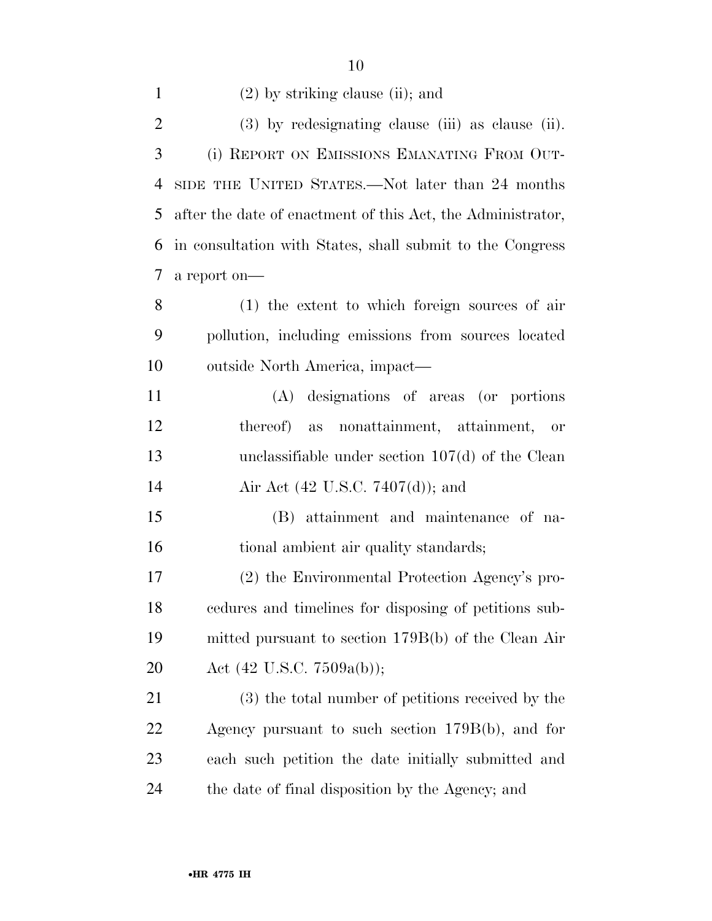| $\mathbf{1}$   | $(2)$ by striking clause (ii); and                          |
|----------------|-------------------------------------------------------------|
| $\overline{2}$ | $(3)$ by redesignating clause (iii) as clause (ii).         |
| 3              | (i) REPORT ON EMISSIONS EMANATING FROM OUT-                 |
| 4              | SIDE THE UNITED STATES.—Not later than 24 months            |
| 5              | after the date of enactment of this Act, the Administrator, |
| 6              | in consultation with States, shall submit to the Congress   |
| 7              | a report on-                                                |
| 8              | (1) the extent to which foreign sources of air              |
| 9              | pollution, including emissions from sources located         |
| 10             | outside North America, impact—                              |
| 11             | (A) designations of areas (or portions                      |
| 12             | thereof)<br>nonattainment, attainment, or<br>as             |
| 13             | unclassifiable under section $107(d)$ of the Clean          |
| 14             | Air Act (42 U.S.C. 7407(d)); and                            |
| 15             | (B) attainment and maintenance of na-                       |
| 16             | tional ambient air quality standards;                       |
| 17             | (2) the Environmental Protection Agency's pro-              |
| 18             | cedures and timelines for disposing of petitions sub-       |
| 19             | mitted pursuant to section 179B(b) of the Clean Air         |
| 20             | Act $(42 \text{ U.S.C. } 7509a(b));$                        |
| 21             | (3) the total number of petitions received by the           |
| 22             | Agency pursuant to such section $179B(b)$ , and for         |
| 23             | each such petition the date initially submitted and         |
| 24             | the date of final disposition by the Agency; and            |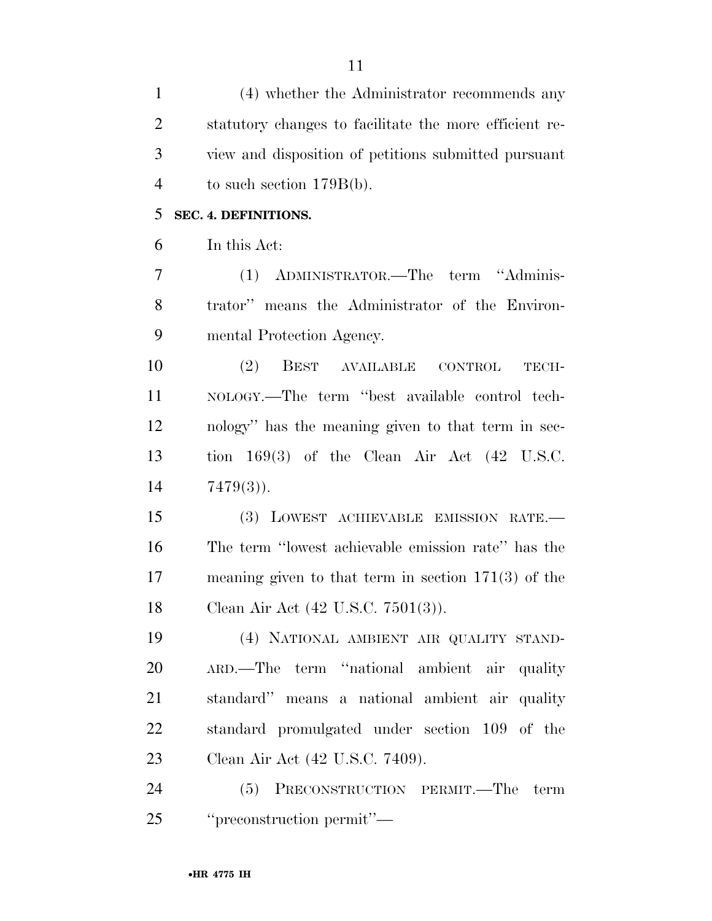| $\mathbf{1}$   | (4) whether the Administrator recommends any             |
|----------------|----------------------------------------------------------|
| $\overline{2}$ | statutory changes to facilitate the more efficient re-   |
| 3              | view and disposition of petitions submitted pursuant     |
| $\overline{4}$ | to such section $179B(b)$ .                              |
| 5              | SEC. 4. DEFINITIONS.                                     |
| 6              | In this Act:                                             |
| 7              | ADMINISTRATOR.-The term "Adminis-<br>(1)                 |
| 8              | trator" means the Administrator of the Environ-          |
| 9              | mental Protection Agency.                                |
| 10             | (2)<br>BEST AVAILABLE<br>$\mbox{CONTROL}$<br>TECH-       |
| 11             | NOLOGY.—The term "best available control tech-           |
| 12             | nology" has the meaning given to that term in sec-       |
| 13             | tion $169(3)$ of the Clean Air Act $(42 \text{ U.S.C.})$ |
| 14             | $7479(3)$ .                                              |
| 15             | (3) LOWEST ACHIEVABLE EMISSION RATE.                     |
| 16             | The term "lowest achievable emission rate" has the       |
| 17             | meaning given to that term in section $171(3)$ of the    |
| 18             | Clean Air Act (42 U.S.C. 7501(3)).                       |
| 19             | (4) NATIONAL AMBIENT AIR QUALITY STAND-                  |
| 20             | ARD.—The term "national ambient air quality              |
| 21             | standard" means a national ambient air quality           |
| 22             | standard promulgated under section 109 of the            |
| 23             | Clean Air Act (42 U.S.C. 7409).                          |
| 24             | (5) PRECONSTRUCTION PERMIT.—The term                     |
| 25             | "preconstruction permit"—                                |

•**HR 4775 IH**